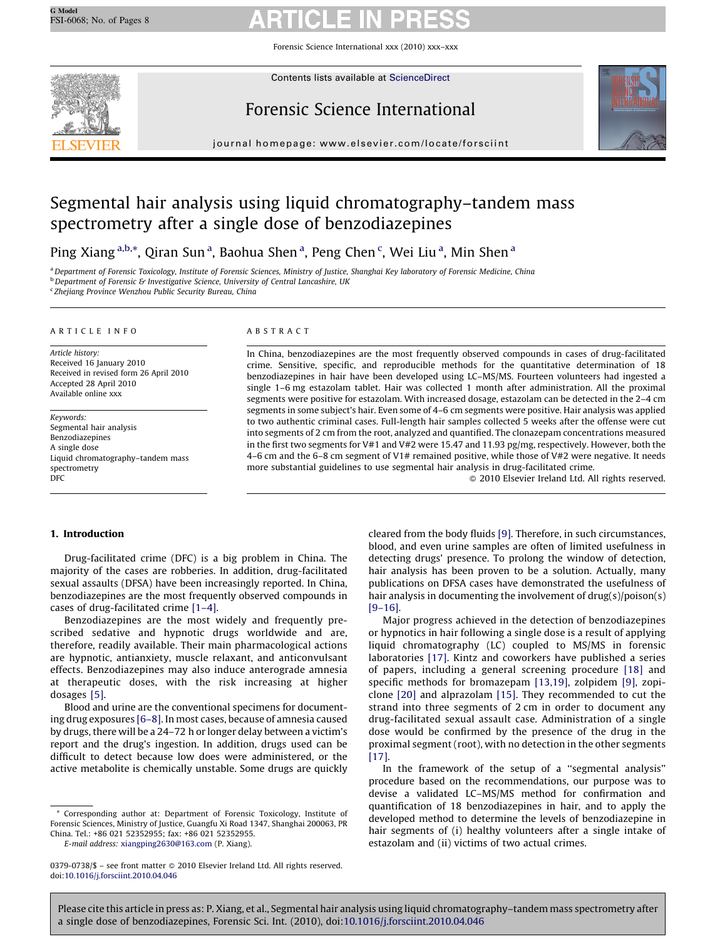Forensic Science International xxx (2010) xxx–xxx



Contents lists available at [ScienceDirect](http://www.sciencedirect.com/science/journal/03790738)

# Forensic Science International



journal homepage: www.elsevier.com/locate/forsciint

# Segmental hair analysis using liquid chromatography–tandem mass spectrometry after a single dose of benzodiazepines

Ping Xiang <sup>a,b,\*</sup>, Qiran Sun <sup>a</sup>, Baohua Shen <sup>a</sup>, Peng Chen <sup>c</sup>, Wei Liu <sup>a</sup>, Min Shen <sup>a</sup>

a Department of Forensic Toxicology, Institute of Forensic Sciences, Ministry of Justice, Shanghai Key laboratory of Forensic Medicine, China **b** Department of Forensic & Investigative Science, University of Central Lancashire, UK

<sup>c</sup> Zhejiang Province Wenzhou Public Security Bureau, China

## ARTICLE INFO

Article history: Received 16 January 2010 Received in revised form 26 April 2010 Accepted 28 April 2010 Available online xxx

Keywords: Segmental hair analysis Benzodiazepines A single dose Liquid chromatography–tandem mass spectrometry DFC

### ABSTRACT

In China, benzodiazepines are the most frequently observed compounds in cases of drug-facilitated crime. Sensitive, specific, and reproducible methods for the quantitative determination of 18 benzodiazepines in hair have been developed using LC–MS/MS. Fourteen volunteers had ingested a single 1–6 mg estazolam tablet. Hair was collected 1 month after administration. All the proximal segments were positive for estazolam. With increased dosage, estazolam can be detected in the 2–4 cm segments in some subject's hair. Even some of 4–6 cm segments were positive. Hair analysis was applied to two authentic criminal cases. Full-length hair samples collected 5 weeks after the offense were cut into segments of 2 cm from the root, analyzed and quantified. The clonazepam concentrations measured in the first two segments for V#1 and V#2 were 15.47 and 11.93 pg/mg, respectively. However, both the 4–6 cm and the 6–8 cm segment of V1# remained positive, while those of V#2 were negative. It needs more substantial guidelines to use segmental hair analysis in drug-facilitated crime.

 $\odot$  2010 Elsevier Ireland Ltd. All rights reserved.

## 1. Introduction

Drug-facilitated crime (DFC) is a big problem in China. The majority of the cases are robberies. In addition, drug-facilitated sexual assaults (DFSA) have been increasingly reported. In China, benzodiazepines are the most frequently observed compounds in cases of drug-facilitated crime [\[1–4\].](#page-7-0)

Benzodiazepines are the most widely and frequently prescribed sedative and hypnotic drugs worldwide and are, therefore, readily available. Their main pharmacological actions are hypnotic, antianxiety, muscle relaxant, and anticonvulsant effects. Benzodiazepines may also induce anterograde amnesia at therapeutic doses, with the risk increasing at higher dosages [\[5\].](#page-7-0)

Blood and urine are the conventional specimens for documenting drug exposures [\[6–8\]](#page-7-0). In most cases, because of amnesia caused by drugs, there will be a 24–72 h or longer delay between a victim's report and the drug's ingestion. In addition, drugs used can be difficult to detect because low does were administered, or the active metabolite is chemically unstable. Some drugs are quickly

Corresponding author at: Department of Forensic Toxicology, Institute of Forensic Sciences, Ministry of Justice, Guangfu Xi Road 1347, Shanghai 200063, PR China. Tel.: +86 021 52352955; fax: +86 021 52352955.

E-mail address: [xiangping2630@163.com](mailto:xiangping2630@163.com) (P. Xiang).

cleared from the body fluids [\[9\].](#page-7-0) Therefore, in such circumstances, blood, and even urine samples are often of limited usefulness in detecting drugs' presence. To prolong the window of detection, hair analysis has been proven to be a solution. Actually, many publications on DFSA cases have demonstrated the usefulness of hair analysis in documenting the involvement of drug(s)/poison(s) [\[9–16\].](#page-7-0)

Major progress achieved in the detection of benzodiazepines or hypnotics in hair following a single dose is a result of applying liquid chromatography (LC) coupled to MS/MS in forensic laboratories [\[17\].](#page-7-0) Kintz and coworkers have published a series of papers, including a general screening procedure [\[18\]](#page-7-0) and specific methods for bromazepam [\[13,19\],](#page-7-0) zolpidem [\[9\],](#page-7-0) zopiclone [\[20\]](#page-7-0) and alprazolam [\[15\].](#page-7-0) They recommended to cut the strand into three segments of 2 cm in order to document any drug-facilitated sexual assault case. Administration of a single dose would be confirmed by the presence of the drug in the proximal segment (root), with no detection in the other segments [\[17\].](#page-7-0)

In the framework of the setup of a ''segmental analysis'' procedure based on the recommendations, our purpose was to devise a validated LC–MS/MS method for confirmation and quantification of 18 benzodiazepines in hair, and to apply the developed method to determine the levels of benzodiazepine in hair segments of (i) healthy volunteers after a single intake of estazolam and (ii) victims of two actual crimes.

 $0379-0738/\$  – see front matter  $\odot$  2010 Elsevier Ireland Ltd. All rights reserved. doi:[10.1016/j.forsciint.2010.04.046](http://dx.doi.org/10.1016/j.forsciint.2010.04.046)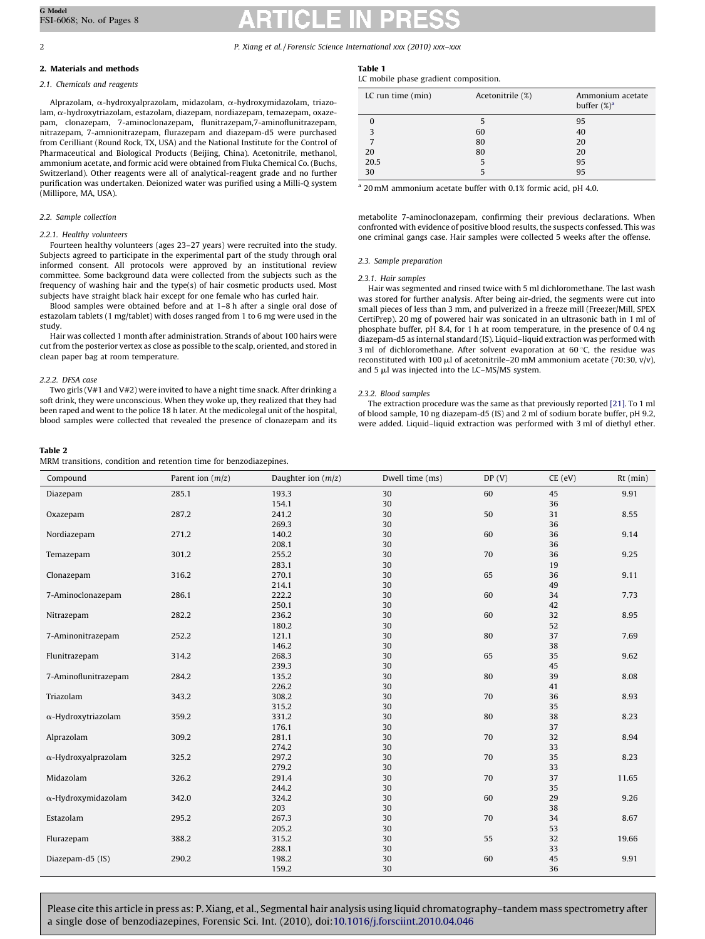## <span id="page-1-0"></span>2. Materials and methods

# 2.1. Chemicals and reagents

Alprazolam, a-hydroxyalprazolam, midazolam, a-hydroxymidazolam, triazolam, a-hydroxytriazolam, estazolam, diazepam, nordiazepam, temazepam, oxazepam, clonazepam, 7-aminoclonazepam, flunitrazepam,7-aminoflunitrazepam, nitrazepam, 7-amnionitrazepam, flurazepam and diazepam-d5 were purchased from Cerilliant (Round Rock, TX, USA) and the National Institute for the Control of Pharmaceutical and Biological Products (Beijing, China). Acetonitrile, methanol, ammonium acetate, and formic acid were obtained from Fluka Chemical Co. (Buchs, Switzerland). Other reagents were all of analytical-reagent grade and no further purification was undertaken. Deionized water was purified using a Milli-Q system (Millipore, MA, USA).

# 2.2. Sample collection

#### 2.2.1. Healthy volunteers

Fourteen healthy volunteers (ages 23–27 years) were recruited into the study. Subjects agreed to participate in the experimental part of the study through oral informed consent. All protocols were approved by an institutional review committee. Some background data were collected from the subjects such as the frequency of washing hair and the type(s) of hair cosmetic products used. Most subjects have straight black hair except for one female who has curled hair.

Blood samples were obtained before and at 1–8 h after a single oral dose of estazolam tablets (1 mg/tablet) with doses ranged from 1 to 6 mg were used in the study.

Hair was collected 1 month after administration. Strands of about 100 hairs were cut from the posterior vertex as close as possible to the scalp, oriented, and stored in clean paper bag at room temperature.

### 2.2.2. DFSA case

Two girls (V#1 and V#2) were invited to have a night time snack. After drinking a soft drink, they were unconscious. When they woke up, they realized that they had been raped and went to the police 18 h later. At the medicolegal unit of the hospital, blood samples were collected that revealed the presence of clonazepam and its

#### Table 2

MRM transitions, condition and retention time for benzodiazepines.

### Table 1

LC mobile phase gradient composition.

| LC run time $(min)$ | Acetonitrile (%) | Ammonium acetate<br>buffer $(\%)^a$ |
|---------------------|------------------|-------------------------------------|
|                     | 5                | 95                                  |
| 3                   | 60               | 40                                  |
|                     | 80               | 20                                  |
| 20                  | 80               | 20                                  |
| 20.5                | 5                | 95                                  |
| 30                  |                  | 95                                  |

<sup>a</sup> 20mM ammonium acetate buffer with 0.1% formic acid, pH 4.0.

metabolite 7-aminoclonazepam, confirming their previous declarations. When confronted with evidence of positive blood results, the suspects confessed. This was one criminal gangs case. Hair samples were collected 5 weeks after the offense.

#### 2.3. Sample preparation

### 2.3.1. Hair samples

Hair was segmented and rinsed twice with 5 ml dichloromethane. The last wash was stored for further analysis. After being air-dried, the segments were cut into small pieces of less than 3 mm, and pulverized in a freeze mill (Freezer/Mill, SPEX CertiPrep). 20 mg of powered hair was sonicated in an ultrasonic bath in 1 ml of phosphate buffer, pH 8.4, for 1 h at room temperature, in the presence of 0.4 ng diazepam-d5 as internal standard (IS). Liquid–liquid extraction was performed with 3 ml of dichloromethane. After solvent evaporation at 60 $\degree$ C, the residue was reconstituted with 100  $\mu$ l of acetonitrile–20 mM ammonium acetate (70:30, v/v), and  $5 \mu l$  was injected into the LC–MS/MS system.

## 2.3.2. Blood samples

The extraction procedure was the same as that previously reported [\[21\].](#page-7-0) To 1 ml of blood sample, 10 ng diazepam-d5 (IS) and 2 ml of sodium borate buffer, pH 9.2, were added. Liquid–liquid extraction was performed with 3 ml of diethyl ether.

| Compound                    | Parent ion $(m/z)$ | Daughter ion $(m/z)$ | Dwell time (ms) | DP(V) | $CE$ (eV) | $Rt$ (min) |
|-----------------------------|--------------------|----------------------|-----------------|-------|-----------|------------|
| Diazepam                    | 285.1              | 193.3                | 30              | 60    | 45        | 9.91       |
|                             |                    | 154.1                | 30              |       | 36        |            |
| Oxazepam                    | 287.2              | 241.2                | 30              | 50    | 31        | 8.55       |
|                             |                    | 269.3                | 30              |       | 36        |            |
| Nordiazepam                 | 271.2              | 140.2                | 30              | 60    | 36        | 9.14       |
|                             |                    | 208.1                | 30              |       | 36        |            |
| Temazepam                   | 301.2              | 255.2                | 30              | 70    | 36        | 9.25       |
|                             |                    | 283.1                | 30              |       | 19        |            |
| Clonazepam                  | 316.2              | 270.1                | 30              | 65    | 36        | 9.11       |
|                             |                    | 214.1                | 30              |       | 49        |            |
| 7-Aminoclonazepam           | 286.1              | 222.2                | 30              | 60    | 34        | 7.73       |
|                             |                    | 250.1                | 30              |       | 42        |            |
| Nitrazepam                  | 282.2              | 236.2                | 30              | 60    | 32        | 8.95       |
|                             |                    | 180.2                | 30              |       | 52        |            |
| 7-Aminonitrazepam           | 252.2              | 121.1                | 30              | 80    | 37        | 7.69       |
|                             |                    | 146.2                | 30              |       | 38        |            |
| Flunitrazepam               | 314.2              | 268.3                | 30              | 65    | 35        | 9.62       |
|                             |                    | 239.3                | 30              |       | 45        |            |
| 7-Aminoflunitrazepam        | 284.2              | 135.2                | 30              | 80    | 39        | 8.08       |
|                             |                    | 226.2                | 30              |       | 41        |            |
| Triazolam                   | 343.2              | 308.2                | 30              | 70    | 36        | 8.93       |
|                             |                    | 315.2                | 30              |       | 35        |            |
| $\alpha$ -Hydroxytriazolam  | 359.2              | 331.2                | 30              | 80    | 38        | 8.23       |
|                             |                    | 176.1                | 30              |       | 37        |            |
| Alprazolam                  | 309.2              | 281.1                | 30              | 70    | 32        | 8.94       |
|                             |                    | 274.2                | 30              |       | 33        |            |
| $\alpha$ -Hydroxyalprazolam | 325.2              | 297.2                | 30              | 70    | 35        | 8.23       |
|                             |                    | 279.2                | 30              |       | 33        |            |
| Midazolam                   | 326.2              | 291.4                | 30              | 70    | 37        | 11.65      |
|                             |                    | 244.2                | 30              |       | 35        |            |
| $\alpha$ -Hydroxymidazolam  | 342.0              | 324.2                | 30              | 60    | 29        | 9.26       |
|                             |                    | 203                  | 30              |       | 38        |            |
| Estazolam                   | 295.2              | 267.3                | 30              | 70    | 34        | 8.67       |
|                             |                    | 205.2                | 30              |       | 53        |            |
| Flurazepam                  | 388.2              | 315.2                | 30              | 55    | 32        | 19.66      |
|                             |                    | 288.1                | 30              |       | 33        |            |
| Diazepam-d5 (IS)            | 290.2              | 198.2                | 30              | 60    | 45        | 9.91       |
|                             |                    | 159.2                | 30              |       | 36        |            |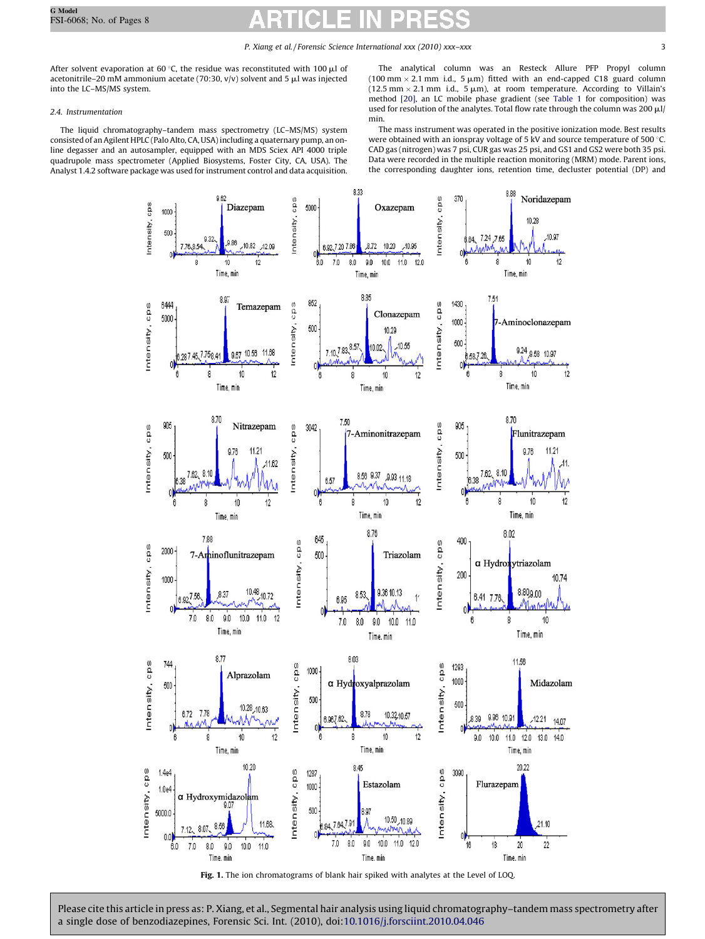<span id="page-2-0"></span>After solvent evaporation at 60 °C, the residue was reconstituted with 100  $\mu$ l of acetonitrile–20 mM ammonium acetate (70:30,  $v/v$ ) solvent and 5  $\mu$ l was injected into the LC–MS/MS system.

# 2.4. Instrumentation

The liquid chromatography–tandem mass spectrometry (LC–MS/MS) system consisted of an Agilent HPLC (Palo Alto, CA, USA) including a quaternary pump, an online degasser and an autosampler, equipped with an MDS Sciex API 4000 triple quadrupole mass spectrometer (Applied Biosystems, Foster City, CA, USA). The Analyst 1.4.2 software package was used for instrument control and data acquisition.

The analytical column was an Resteck Allure PFP Propyl column (100 mm  $\times$  2.1 mm i.d., 5  $\mu$ m) fitted with an end-capped C18 guard column  $(12.5 \text{ mm} \times 2.1 \text{ mm} \text{ i.d., } 5 \mu \text{m})$ , at room temperature. According to Villain's method [\[20\]](#page-7-0), an LC mobile phase gradient (see [Table 1](#page-1-0) for composition) was used for resolution of the analytes. Total flow rate through the column was 200  $\mu$ l/ min.

The mass instrument was operated in the positive ionization mode. Best results were obtained with an ionspray voltage of 5 kV and source temperature of 500  $^{\circ}$ C. CAD gas (nitrogen) was 7 psi, CUR gas was 25 psi, and GS1 and GS2 were both 35 psi. Data were recorded in the multiple reaction monitoring (MRM) mode. Parent ions, the corresponding daughter ions, retention time, decluster potential (DP) and

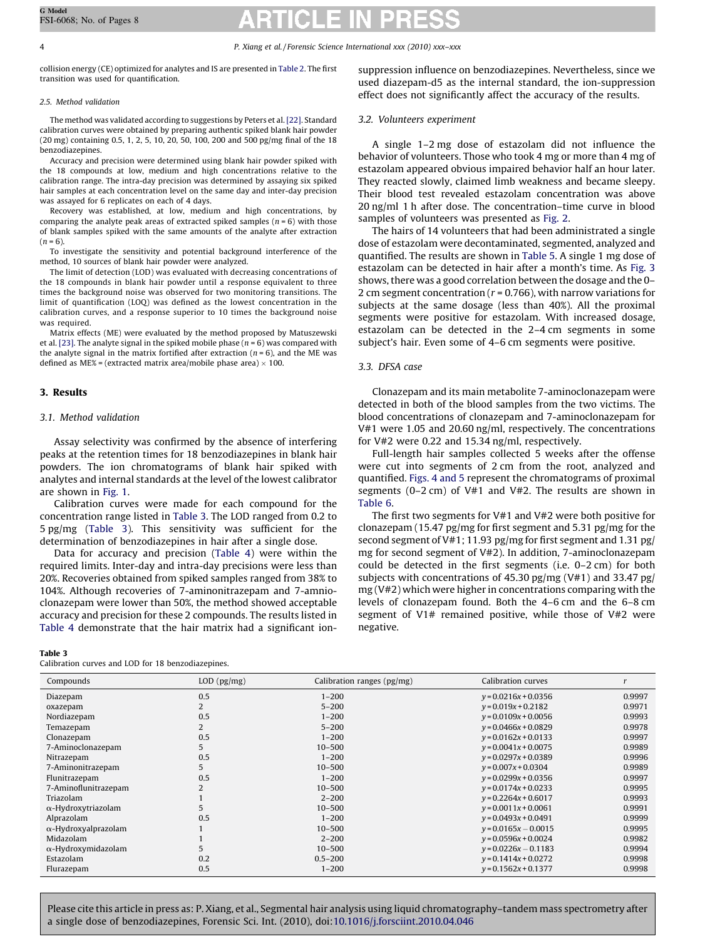collision energy (CE) optimized for analytes and IS are presented in [Table 2](#page-1-0). The first transition was used for quantification.

# 2.5. Method validation

The method was validated according to suggestions by Peters et al.[\[22\].](#page-7-0) Standard calibration curves were obtained by preparing authentic spiked blank hair powder (20 mg) containing 0.5, 1, 2, 5, 10, 20, 50, 100, 200 and 500 pg/mg final of the 18 benzodiazepines.

Accuracy and precision were determined using blank hair powder spiked with the 18 compounds at low, medium and high concentrations relative to the calibration range. The intra-day precision was determined by assaying six spiked hair samples at each concentration level on the same day and inter-day precision was assayed for 6 replicates on each of 4 days.

Recovery was established, at low, medium and high concentrations, by comparing the analyte peak areas of extracted spiked samples ( $n = 6$ ) with those of blank samples spiked with the same amounts of the analyte after extraction  $(n = 6)$ .

To investigate the sensitivity and potential background interference of the method, 10 sources of blank hair powder were analyzed.

The limit of detection (LOD) was evaluated with decreasing concentrations of the 18 compounds in blank hair powder until a response equivalent to three times the background noise was observed for two monitoring transitions. The limit of quantification (LOQ) was defined as the lowest concentration in the calibration curves, and a response superior to 10 times the background noise was required.

Matrix effects (ME) were evaluated by the method proposed by Matuszewski et al. [\[23\]](#page-7-0). The analyte signal in the spiked mobile phase ( $n = 6$ ) was compared with the analyte signal in the matrix fortified after extraction ( $n = 6$ ), and the ME was defined as ME% = (extracted matrix area/mobile phase area)  $\times$  100.

# 3. Results

# 3.1. Method validation

Assay selectivity was confirmed by the absence of interfering peaks at the retention times for 18 benzodiazepines in blank hair powders. The ion chromatograms of blank hair spiked with analytes and internal standards at the level of the lowest calibrator are shown in [Fig. 1.](#page-2-0)

Calibration curves were made for each compound for the concentration range listed in Table 3. The LOD ranged from 0.2 to 5 pg/mg (Table 3). This sensitivity was sufficient for the determination of benzodiazepines in hair after a single dose.

Data for accuracy and precision ([Table 4\)](#page-4-0) were within the required limits. Inter-day and intra-day precisions were less than 20%. Recoveries obtained from spiked samples ranged from 38% to 104%. Although recoveries of 7-aminonitrazepam and 7-amnioclonazepam were lower than 50%, the method showed acceptable accuracy and precision for these 2 compounds. The results listed in [Table 4](#page-4-0) demonstrate that the hair matrix had a significant ion-

# Table 3

Calibration curves and LOD for 18 benzodiazepines.

suppression influence on benzodiazepines. Nevertheless, since we used diazepam-d5 as the internal standard, the ion-suppression effect does not significantly affect the accuracy of the results.

# 3.2. Volunteers experiment

A single 1–2 mg dose of estazolam did not influence the behavior of volunteers. Those who took 4 mg or more than 4 mg of estazolam appeared obvious impaired behavior half an hour later. They reacted slowly, claimed limb weakness and became sleepy. Their blood test revealed estazolam concentration was above 20 ng/ml 1 h after dose. The concentration–time curve in blood samples of volunteers was presented as [Fig. 2](#page-5-0).

The hairs of 14 volunteers that had been administrated a single dose of estazolam were decontaminated, segmented, analyzed and quantified. The results are shown in [Table 5](#page-5-0). A single 1 mg dose of estazolam can be detected in hair after a month's time. As [Fig. 3](#page-5-0) shows, there was a good correlation between the dosage and the 0– 2 cm segment concentration ( $r = 0.766$ ), with narrow variations for subjects at the same dosage (less than 40%). All the proximal segments were positive for estazolam. With increased dosage, estazolam can be detected in the 2–4 cm segments in some subject's hair. Even some of 4–6 cm segments were positive.

# 3.3. DFSA case

Clonazepam and its main metabolite 7-aminoclonazepam were detected in both of the blood samples from the two victims. The blood concentrations of clonazepam and 7-aminoclonazepam for V#1 were 1.05 and 20.60 ng/ml, respectively. The concentrations for V#2 were 0.22 and 15.34 ng/ml, respectively.

Full-length hair samples collected 5 weeks after the offense were cut into segments of 2 cm from the root, analyzed and quantified. [Figs. 4 and 5](#page-5-0) represent the chromatograms of proximal segments (0–2 cm) of V#1 and V#2. The results are shown in [Table 6.](#page-6-0)

The first two segments for V#1 and V#2 were both positive for clonazepam (15.47 pg/mg for first segment and 5.31 pg/mg for the second segment of V#1; 11.93 pg/mg for first segment and 1.31 pg/ mg for second segment of V#2). In addition, 7-aminoclonazepam could be detected in the first segments (i.e. 0–2 cm) for both subjects with concentrations of 45.30 pg/mg (V#1) and 33.47 pg/ mg (V#2) which were higher in concentrations comparing with the levels of clonazepam found. Both the 4–6 cm and the 6–8 cm segment of V1# remained positive, while those of V#2 were negative.

| Compounds                   | $LOD$ ( $pg/mg$ ) | Calibration ranges (pg/mg) | Calibration curves     |        |
|-----------------------------|-------------------|----------------------------|------------------------|--------|
|                             | 0.5               | $1 - 200$                  |                        | 0.9997 |
| Diazepam                    |                   |                            | $y = 0.0216x + 0.0356$ |        |
| oxazepam                    |                   | $5 - 200$                  | $y = 0.019x + 0.2182$  | 0.9971 |
| Nordiazepam                 | 0.5               | $1 - 200$                  | $y = 0.0109x + 0.0056$ | 0.9993 |
| Temazepam                   |                   | $5 - 200$                  | $y = 0.0466x + 0.0829$ | 0.9978 |
| Clonazepam                  | 0.5               | $1 - 200$                  | $y = 0.0162x + 0.0133$ | 0.9997 |
| 7-Aminoclonazepam           | 5                 | $10 - 500$                 | $y = 0.0041x + 0.0075$ | 0.9989 |
| Nitrazepam                  | 0.5               | $1 - 200$                  | $y = 0.0297x + 0.0389$ | 0.9996 |
| 7-Aminonitrazepam           | 5                 | $10 - 500$                 | $y = 0.007x + 0.0304$  | 0.9989 |
| Flunitrazepam               | 0.5               | $1 - 200$                  | $y = 0.0299x + 0.0356$ | 0.9997 |
| 7-Aminoflunitrazepam        |                   | $10 - 500$                 | $y = 0.0174x + 0.0233$ | 0.9995 |
| Triazolam                   |                   | $2 - 200$                  | $y = 0.2264x + 0.6017$ | 0.9993 |
| $\alpha$ -Hydroxytriazolam  |                   | $10 - 500$                 | $y = 0.0011x + 0.0061$ | 0.9991 |
| Alprazolam                  | 0.5               | $1 - 200$                  | $y = 0.0493x + 0.0491$ | 0.9999 |
| $\alpha$ -Hydroxyalprazolam |                   | $10 - 500$                 | $y = 0.0165x - 0.0015$ | 0.9995 |
| Midazolam                   |                   | $2 - 200$                  | $y = 0.0596x + 0.0024$ | 0.9982 |
| $\alpha$ -Hydroxymidazolam  |                   | $10 - 500$                 | $y = 0.0226x - 0.1183$ | 0.9994 |
| Estazolam                   | 0.2               | $0.5 - 200$                | $y = 0.1414x + 0.0272$ | 0.9998 |
| Flurazepam                  | 0.5               | $1 - 200$                  | $y = 0.1562x + 0.1377$ | 0.9998 |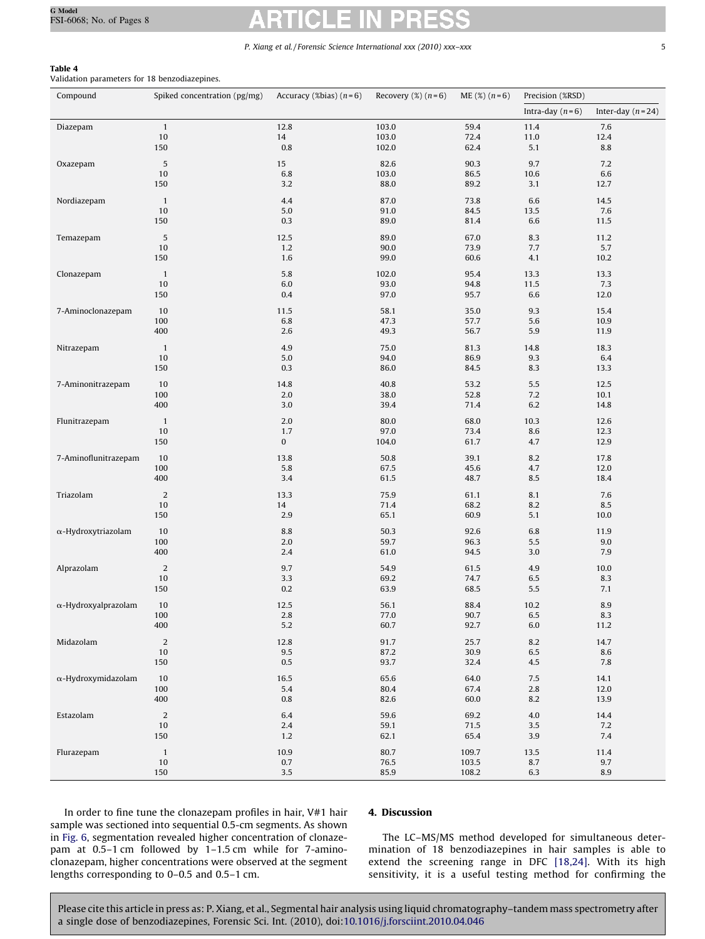# <span id="page-4-0"></span>Table 4

Validation parameters for 18 benzodiazepines.

| Compound                    | Spiked concentration (pg/mg) | Accuracy (%bias) $(n=6)$ | Recovery $(\%)$ $(n=6)$ | $ME$ (%) $(n=6)$ | Precision (%RSD)  |                    |  |
|-----------------------------|------------------------------|--------------------------|-------------------------|------------------|-------------------|--------------------|--|
|                             |                              |                          |                         |                  | Intra-day $(n=6)$ | Inter-day $(n=24)$ |  |
|                             | $1\,$                        |                          |                         |                  |                   |                    |  |
| Diazepam                    | 10                           | 12.8<br>14               | 103.0<br>103.0          | 59.4<br>72.4     | 11.4<br>11.0      | 7.6<br>12.4        |  |
|                             | 150                          | 0.8                      | 102.0                   | 62.4             | 5.1               | 8.8                |  |
|                             |                              |                          |                         |                  |                   |                    |  |
| Oxazepam                    | $\sqrt{5}$                   | 15                       | 82.6                    | 90.3             | 9.7               | 7.2                |  |
|                             | 10                           | 6.8                      | 103.0                   | 86.5             | 10.6              | 6.6                |  |
|                             | 150                          | 3.2                      | 88.0                    | 89.2             | 3.1               | 12.7               |  |
| Nordiazepam                 | $\mathbf{1}$                 | 4.4                      | 87.0                    | 73.8             | 6.6               | 14.5               |  |
|                             | 10                           | 5.0                      | 91.0                    | 84.5             | 13.5              | 7.6                |  |
|                             | 150                          | 0.3                      | 89.0                    | 81.4             | 6.6               | 11.5               |  |
| Temazepam                   | $\sqrt{5}$                   | 12.5                     | 89.0                    | 67.0             | 8.3               | 11.2               |  |
|                             | 10                           | 1.2                      | 90.0                    | 73.9             | 7.7               | 5.7                |  |
|                             | 150                          | 1.6                      | 99.0                    | 60.6             | 4.1               | 10.2               |  |
|                             |                              |                          |                         |                  |                   |                    |  |
| Clonazepam                  | $\mathbf{1}$<br>10           | 5.8<br>6.0               | 102.0<br>93.0           | 95.4<br>94.8     | 13.3<br>11.5      | 13.3<br>7.3        |  |
|                             | 150                          | 0.4                      | 97.0                    | 95.7             | 6.6               | 12.0               |  |
|                             |                              |                          |                         |                  |                   |                    |  |
| 7-Aminoclonazepam           | 10                           | 11.5                     | 58.1                    | 35.0             | 9.3               | 15.4               |  |
|                             | 100                          | 6.8                      | 47.3                    | 57.7             | 5.6               | 10.9               |  |
|                             | 400                          | 2.6                      | 49.3                    | 56.7             | 5.9               | 11.9               |  |
| Nitrazepam                  | $\mathbf{1}$                 | 4.9                      | 75.0                    | 81.3             | 14.8              | 18.3               |  |
|                             | 10                           | 5.0                      | 94.0                    | 86.9             | 9.3               | 6.4                |  |
|                             | 150                          | 0.3                      | 86.0                    | 84.5             | 8.3               | 13.3               |  |
| 7-Aminonitrazepam           | 10                           | 14.8                     | 40.8                    | 53.2             | 5.5               | 12.5               |  |
|                             | 100                          | 2.0                      | 38.0                    | 52.8             | 7.2               | 10.1               |  |
|                             | 400                          | 3.0                      | 39.4                    | 71.4             | 6.2               | 14.8               |  |
|                             | $\mathbf{1}$                 | 2.0                      | 80.0                    | 68.0             | 10.3              | 12.6               |  |
| Flunitrazepam               | 10                           | 1.7                      | 97.0                    | 73.4             | 8.6               | 12.3               |  |
|                             | 150                          | $\bf{0}$                 | 104.0                   | 61.7             | 4.7               | 12.9               |  |
|                             |                              |                          |                         |                  |                   |                    |  |
| 7-Aminoflunitrazepam        | 10                           | 13.8                     | 50.8                    | 39.1             | 8.2               | 17.8               |  |
|                             | 100<br>400                   | 5.8<br>3.4               | 67.5<br>61.5            | 45.6<br>48.7     | 4.7               | 12.0<br>18.4       |  |
|                             |                              |                          |                         |                  | 8.5               |                    |  |
| Triazolam                   | $\sqrt{2}$                   | 13.3                     | 75.9                    | 61.1             | 8.1               | 7.6                |  |
|                             | 10                           | 14                       | 71.4                    | 68.2             | 8.2               | 8.5                |  |
|                             | 150                          | 2.9                      | 65.1                    | 60.9             | 5.1               | 10.0               |  |
| $\alpha$ -Hydroxytriazolam  | 10                           | 8.8                      | 50.3                    | 92.6             | 6.8               | 11.9               |  |
|                             | 100                          | $2.0\,$                  | 59.7                    | 96.3             | 5.5               | 9.0                |  |
|                             | 400                          | 2.4                      | 61.0                    | 94.5             | 3.0               | 7.9                |  |
| Alprazolam                  | $\overline{2}$               | 9.7                      | 54.9                    | 61.5             | 4.9               | 10.0               |  |
|                             | 10                           | 3.3                      | 69.2                    | 74.7             | 6.5               | 8.3                |  |
|                             | 150                          | 0.2                      | 63.9                    | 68.5             | 5.5               | 7.1                |  |
| $\alpha$ -Hydroxyalprazolam |                              |                          |                         |                  |                   | 8.9                |  |
|                             | 10<br>100                    | 12.5<br>2.8              | 56.1<br>77.0            | 88.4<br>90.7     | 10.2<br>6.5       | 8.3                |  |
|                             | 400                          | 5.2                      | 60.7                    | 92.7             | 6.0               | 11.2               |  |
|                             |                              |                          |                         |                  |                   |                    |  |
| Midazolam                   | $\sqrt{2}$                   | 12.8                     | 91.7                    | 25.7             | 8.2               | 14.7               |  |
|                             | $10\,$                       | $\rm 9.5$                | 87.2                    | 30.9             | $6.5\,$           | 8.6                |  |
|                             | 150                          | $0.5\,$                  | 93.7                    | 32.4             | 4.5               | 7.8                |  |
| $\alpha$ -Hydroxymidazolam  | $10\,$                       | 16.5                     | 65.6                    | 64.0             | 7.5               | 14.1               |  |
|                             | 100                          | 5.4                      | 80.4                    | 67.4             | 2.8               | 12.0               |  |
|                             | 400                          | $0.8\,$                  | 82.6                    | 60.0             | 8.2               | 13.9               |  |
| Estazolam                   | $\sqrt{2}$                   | 6.4                      | 59.6                    | 69.2             | $4.0\,$           | 14.4               |  |
|                             | $10\,$                       | $2.4\,$                  | 59.1                    | 71.5             | 3.5               | 7.2                |  |
|                             | 150                          | 1.2                      | 62.1                    | 65.4             | 3.9               | 7.4                |  |
| Flurazepam                  | $\mathbf{1}$                 | 10.9                     | 80.7                    | 109.7            | 13.5              | 11.4               |  |
|                             | 10                           | $0.7\,$                  | 76.5                    | 103.5            | $8.7\,$           | 9.7                |  |
|                             | 150                          | 3.5                      | 85.9                    | 108.2            | 6.3               | 8.9                |  |
|                             |                              |                          |                         |                  |                   |                    |  |

In order to fine tune the clonazepam profiles in hair, V#1 hair sample was sectioned into sequential 0.5-cm segments. As shown in [Fig. 6](#page-6-0), segmentation revealed higher concentration of clonazepam at 0.5–1 cm followed by 1–1.5 cm while for 7-aminoclonazepam, higher concentrations were observed at the segment lengths corresponding to 0–0.5 and 0.5–1 cm.

# 4. Discussion

The LC–MS/MS method developed for simultaneous determination of 18 benzodiazepines in hair samples is able to extend the screening range in DFC [\[18,24\].](#page-7-0) With its high sensitivity, it is a useful testing method for confirming the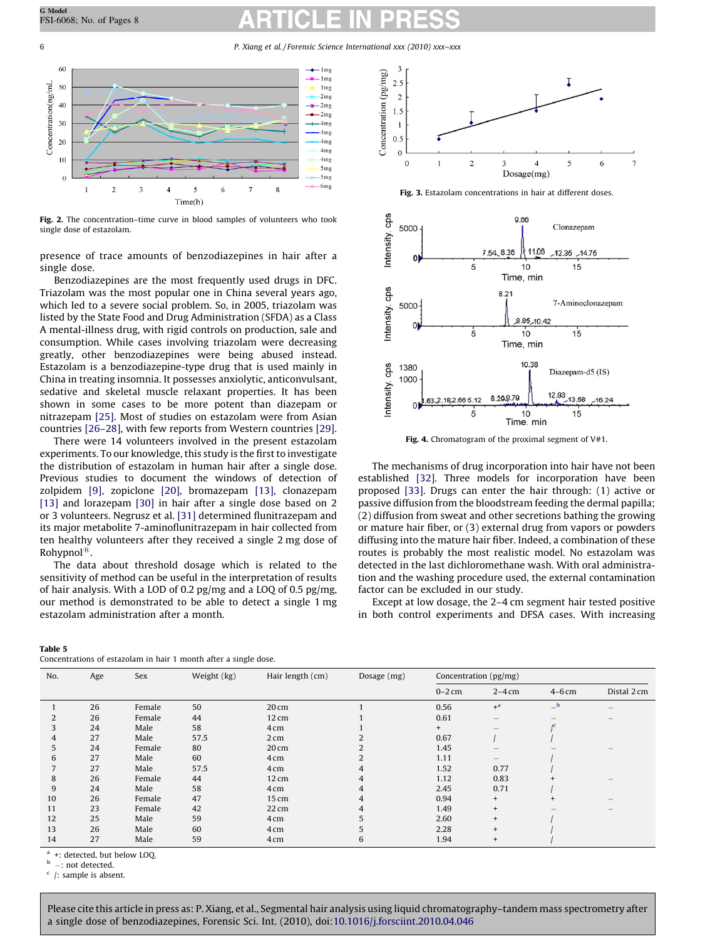<span id="page-5-0"></span>6 P. Xiang et al. / Forensic Science International xxx (2010) xxx–xxx



Fig. 2. The concentration–time curve in blood samples of volunteers who took single dose of estazolam.

presence of trace amounts of benzodiazepines in hair after a single dose.

Benzodiazepines are the most frequently used drugs in DFC. Triazolam was the most popular one in China several years ago, which led to a severe social problem. So, in 2005, triazolam was listed by the State Food and Drug Administration (SFDA) as a Class A mental-illness drug, with rigid controls on production, sale and consumption. While cases involving triazolam were decreasing greatly, other benzodiazepines were being abused instead. Estazolam is a benzodiazepine-type drug that is used mainly in China in treating insomnia. It possesses anxiolytic, anticonvulsant, sedative and skeletal muscle relaxant properties. It has been shown in some cases to be more potent than diazepam or nitrazepam [\[25\]](#page-7-0). Most of studies on estazolam were from Asian countries [\[26–28\],](#page-7-0) with few reports from Western countries [\[29\].](#page-7-0)

There were 14 volunteers involved in the present estazolam experiments. To our knowledge, this study is the first to investigate the distribution of estazolam in human hair after a single dose. Previous studies to document the windows of detection of zolpidem [\[9\]](#page-7-0), zopiclone [\[20\],](#page-7-0) bromazepam [\[13\]](#page-7-0), clonazepam [\[13\]](#page-7-0) and lorazepam [\[30\]](#page-7-0) in hair after a single dose based on 2 or 3 volunteers. Negrusz et al. [\[31\]](#page-7-0) determined flunitrazepam and its major metabolite 7-aminoflunitrazepam in hair collected from ten healthy volunteers after they received a single 2 mg dose of Rohypnol<sup>®</sup>.

The data about threshold dosage which is related to the sensitivity of method can be useful in the interpretation of results of hair analysis. With a LOD of 0.2 pg/mg and a LOQ of 0.5 pg/mg, our method is demonstrated to be able to detect a single 1 mg estazolam administration after a month.



Fig. 3. Estazolam concentrations in hair at different doses.



Fig. 4. Chromatogram of the proximal segment of V#1.

The mechanisms of drug incorporation into hair have not been established [\[32\]](#page-7-0). Three models for incorporation have been proposed [\[33\].](#page-7-0) Drugs can enter the hair through: (1) active or passive diffusion from the bloodstream feeding the dermal papilla; (2) diffusion from sweat and other secretions bathing the growing or mature hair fiber, or (3) external drug from vapors or powders diffusing into the mature hair fiber. Indeed, a combination of these routes is probably the most realistic model. No estazolam was detected in the last dichloromethane wash. With oral administration and the washing procedure used, the external contamination factor can be excluded in our study.

Except at low dosage, the 2–4 cm segment hair tested positive in both control experiments and DFSA cases. With increasing

#### Table 5

Concentrations of estazolam in hair 1 month after a single dose.

| No. | Age | Sex    | Weight (kg) | Hair length (cm) | Dosage (mg) |           | Concentration (pg/mg)                   |                  |             |
|-----|-----|--------|-------------|------------------|-------------|-----------|-----------------------------------------|------------------|-------------|
|     |     |        |             |                  |             | $0-2$ cm  | $2-4$ cm                                | $4-6$ cm         | Distal 2 cm |
|     | 26  | Female | 50          | $20 \text{ cm}$  |             | 0.56      | $+$ <sup>a</sup>                        | $\mathbf b$<br>- |             |
|     | 26  | Female | 44          | $12 \text{ cm}$  |             | 0.61      |                                         |                  |             |
|     | 24  | Male   | 58          | 4 cm             |             | $\ddot{}$ |                                         |                  |             |
| 4   | 27  | Male   | 57.5        | 2 <sub>cm</sub>  |             | 0.67      |                                         |                  |             |
| 5.  | 24  | Female | 80          | $20 \text{ cm}$  |             | 1.45      |                                         |                  |             |
| 6   | 27  | Male   | 60          | 4 cm             |             | 1.11      | $\hspace{1.0cm} \overline{\phantom{0}}$ |                  |             |
|     | 27  | Male   | 57.5        | 4 cm             |             | 1.52      | 0.77                                    |                  |             |
| 8   | 26  | Female | 44          | $12 \text{ cm}$  |             | 1.12      | 0.83                                    |                  |             |
| 9   | 24  | Male   | 58          | 4 cm             |             | 2.45      | 0.71                                    |                  |             |
| 10  | 26  | Female | 47          | 15 cm            |             | 0.94      | $+$                                     |                  |             |
| 11  | 23  | Female | 42          | $22 \text{ cm}$  |             | 1.49      | $+$                                     |                  |             |
| 12  | 25  | Male   | 59          | 4 cm             |             | 2.60      | $+$                                     |                  |             |
| 13  | 26  | Male   | 60          | 4 cm             |             | 2.28      | $+$                                     |                  |             |
| 14  | 27  | Male   | 59          | 4 cm             | b           | 1.94      | $+$                                     |                  |             |

 $a^a$  +: detected, but below LOQ.

- not detected.

 $c$  /: sample is absent.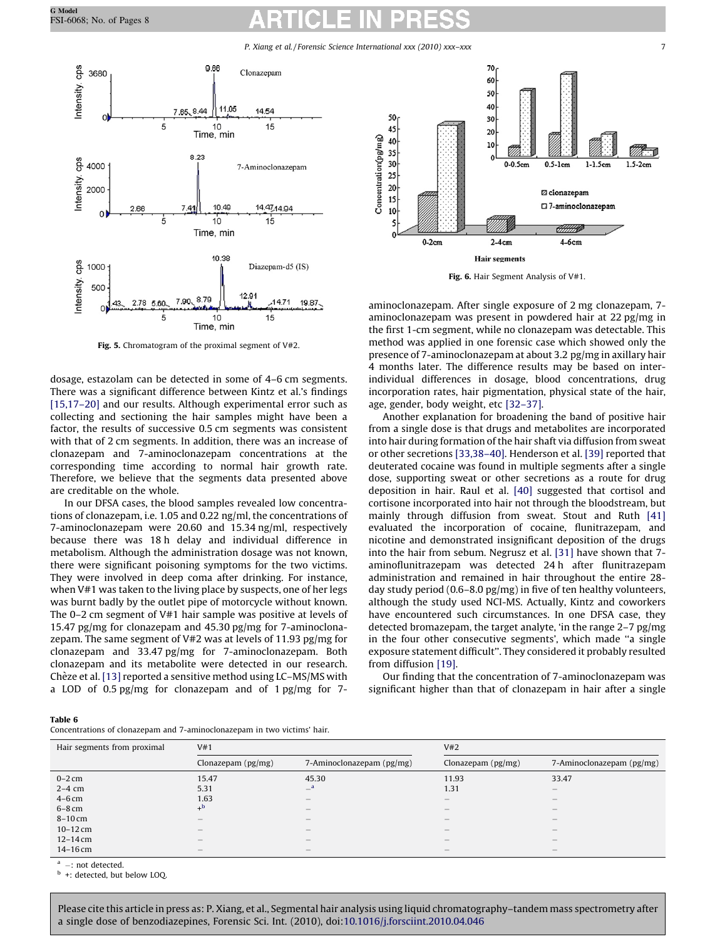P. Xiang et al./Forensic Science International xxx (2010) xxx–xxx 7

<span id="page-6-0"></span>

Fig. 5. Chromatogram of the proximal segment of V#2.

dosage, estazolam can be detected in some of 4–6 cm segments. There was a significant difference between Kintz et al.'s findings [\[15,17–20\]](#page-7-0) and our results. Although experimental error such as collecting and sectioning the hair samples might have been a factor, the results of successive 0.5 cm segments was consistent with that of 2 cm segments. In addition, there was an increase of clonazepam and 7-aminoclonazepam concentrations at the corresponding time according to normal hair growth rate. Therefore, we believe that the segments data presented above are creditable on the whole.

In our DFSA cases, the blood samples revealed low concentrations of clonazepam, i.e. 1.05 and 0.22 ng/ml, the concentrations of 7-aminoclonazepam were 20.60 and 15.34 ng/ml, respectively because there was 18 h delay and individual difference in metabolism. Although the administration dosage was not known, there were significant poisoning symptoms for the two victims. They were involved in deep coma after drinking. For instance, when V#1 was taken to the living place by suspects, one of her legs was burnt badly by the outlet pipe of motorcycle without known. The 0–2 cm segment of V#1 hair sample was positive at levels of 15.47 pg/mg for clonazepam and 45.30 pg/mg for 7-aminoclonazepam. The same segment of V#2 was at levels of 11.93 pg/mg for clonazepam and 33.47 pg/mg for 7-aminoclonazepam. Both clonazepam and its metabolite were detected in our research. Chèze et al. [\[13\]](#page-7-0) reported a sensitive method using LC–MS/MS with a LOD of 0.5 pg/mg for clonazepam and of 1 pg/mg for 7-



Fig. 6. Hair Segment Analysis of V#1.

aminoclonazepam. After single exposure of 2 mg clonazepam, 7 aminoclonazepam was present in powdered hair at 22 pg/mg in the first 1-cm segment, while no clonazepam was detectable. This method was applied in one forensic case which showed only the presence of 7-aminoclonazepam at about 3.2 pg/mg in axillary hair 4 months later. The difference results may be based on interindividual differences in dosage, blood concentrations, drug incorporation rates, hair pigmentation, physical state of the hair, age, gender, body weight, etc [\[32–37\].](#page-7-0)

Another explanation for broadening the band of positive hair from a single dose is that drugs and metabolites are incorporated into hair during formation of the hair shaft via diffusion from sweat or other secretions [\[33,38–40\]](#page-7-0). Henderson et al. [\[39\]](#page-7-0) reported that deuterated cocaine was found in multiple segments after a single dose, supporting sweat or other secretions as a route for drug deposition in hair. Raul et al. [\[40\]](#page-7-0) suggested that cortisol and cortisone incorporated into hair not through the bloodstream, but mainly through diffusion from sweat. Stout and Ruth [\[41\]](#page-7-0) evaluated the incorporation of cocaine, flunitrazepam, and nicotine and demonstrated insignificant deposition of the drugs into the hair from sebum. Negrusz et al. [\[31\]](#page-7-0) have shown that 7 aminoflunitrazepam was detected 24 h after flunitrazepam administration and remained in hair throughout the entire 28 day study period (0.6–8.0 pg/mg) in five of ten healthy volunteers, although the study used NCI-MS. Actually, Kintz and coworkers have encountered such circumstances. In one DFSA case, they detected bromazepam, the target analyte, 'in the range 2–7 pg/mg in the four other consecutive segments', which made ''a single exposure statement difficult''. They considered it probably resulted from diffusion [\[19\]](#page-7-0).

Our finding that the concentration of 7-aminoclonazepam was significant higher than that of clonazepam in hair after a single

| $\sim$<br>. |  |
|-------------|--|
|-------------|--|

Concentrations of clonazepam and 7-aminoclonazepam in two victims' hair.

| Hair segments from proximal | V#1                |                                 | V#2                                   |                                       |  |
|-----------------------------|--------------------|---------------------------------|---------------------------------------|---------------------------------------|--|
|                             | Clonazepam (pg/mg) | 7-Aminoclonazepam (pg/mg)       | Clonazepam (pg/mg)                    | 7-Aminoclonazepam (pg/mg)             |  |
| $0-2$ cm                    | 15.47              | 45.30                           | 11.93                                 | 33.47                                 |  |
| $2-4$ cm                    | 5.31               | $-$ <sup>a</sup>                | 1.31                                  | $\qquad \qquad -$                     |  |
| $4-6$ cm                    | 1.63               | $\hspace{0.1mm}-\hspace{0.1mm}$ | $\qquad \qquad -$                     | $\hspace{1.0cm} \rule{1.5cm}{0.15cm}$ |  |
| $6-8$ cm                    | $+^{\rm b}$        | $\hspace{0.1mm}-\hspace{0.1mm}$ | $\qquad \qquad -$                     | $\hspace{1.0cm} \rule{1.5cm}{0.15cm}$ |  |
| $8-10$ cm                   | –                  | $\hspace{0.1mm}-\hspace{0.1mm}$ | $\hspace{1.0cm} \rule{1.5cm}{0.15cm}$ | $\hspace{0.1mm}-\hspace{0.1mm}$       |  |
| $10 - 12$ cm                | -                  | $\hspace{0.1mm}-\hspace{0.1mm}$ | $\hspace{1.0cm} \rule{1.5cm}{0.15cm}$ | $\hspace{0.1mm}-\hspace{0.1mm}$       |  |
| $12 - 14$ cm                | —                  | $\overline{\phantom{a}}$        | $\qquad \qquad -$                     | $\hspace{1.0cm} \rule{1.5cm}{0.15cm}$ |  |
| $14 - 16$ cm                |                    | $\overline{\phantom{a}}$        | $\qquad \qquad -$                     | $\hspace{1.0cm} \rule{1.5cm}{0.15cm}$ |  |

 $-$  not detected.

+: detected, but below LOQ.